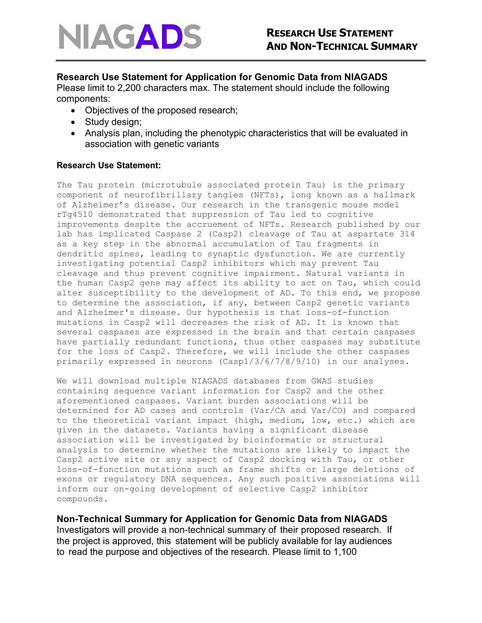

## **Research Use Statement for Application for Genomic Data from NIAGADS**

Please limit to 2,200 characters max. The statement should include the following components:

- Objectives of the proposed research;
- Study design;
- Analysis plan, including the phenotypic characteristics that will be evaluated in association with genetic variants

## **Research Use Statement:**

The Tau protein (microtubule associated protein Tau) is the primary component of neurofibrillary tangles (NFTs), long known as a hallmark of Alzheimer's disease. Our research in the transgenic mouse model rTg4510 demonstrated that suppression of Tau led to cognitive improvements despite the accruement of NFTs. Research published by our lab has implicated Caspase 2 (Casp2) cleavage of Tau at aspartate 314 as a key step in the abnormal accumulation of Tau fragments in dendritic spines, leading to synaptic dysfunction. We are currently investigating potential Casp2 inhibitors which may prevent Tau cleavage and thus prevent cognitive impairment. Natural variants in the human Casp2 gene may affect its ability to act on Tau, which could alter susceptibility to the development of AD. To this end, we propose to determine the association, if any, between Casp2 genetic variants and Alzheimer's disease. Our hypothesis is that loss-of-function mutations in Casp2 will decreases the risk of AD. It is known that several caspases are expressed in the brain and that certain caspases have partially redundant functions, thus other caspases may substitute for the loss of Casp2. Therefore, we will include the other caspases primarily expressed in neurons (Casp1/3/6/7/8/9/10) in our analyses.

We will download multiple NIAGADS databases from GWAS studies containing sequence variant information for Casp2 and the other aforementioned caspases. Variant burden associations will be determined for AD cases and controls (Var/CA and Var/CO) and compared to the theoretical variant impact (high, medium, low, etc.) which are given in the datasets. Variants having a significant disease association will be investigated by bioinformatic or structural analysis to determine whether the mutations are likely to impact the Casp2 active site or any aspect of Casp2 docking with Tau, or other loss-of-function mutations such as frame shifts or large deletions of exons or regulatory DNA sequences. Any such positive associations will inform our on-going development of selective Casp2 inhibitor compounds.

## **Non-Technical Summary for Application for Genomic Data from NIAGADS**

Investigators will provide a non-technical summary of their proposed research. If the project is approved, this statement will be publicly available for lay audiences to read the purpose and objectives of the research. Please limit to 1,100